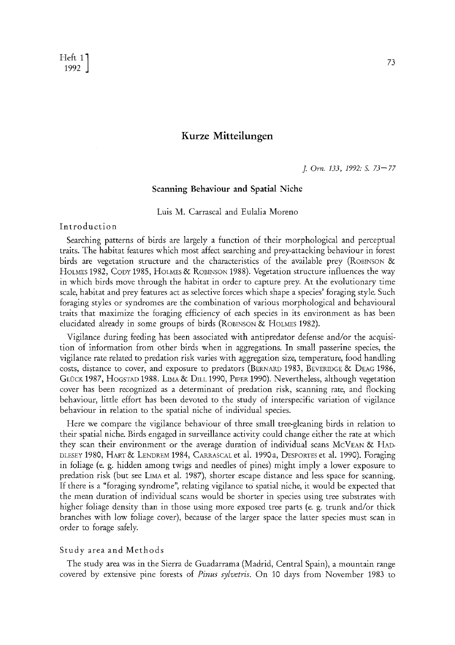$\frac{\text{Heff}}{1992}$  $\begin{bmatrix} 1992 \end{bmatrix}$  73

# **Kurze Mitteilungen**

*J. Orn. 133, 1992: S. 73--77* 

### **Scanning Behaviour and Spatial Niche**

Luis M. Carrascal and Eulalia Moreno

## Introduction

Searching patterns of birds are largely a function of their morphological and perceptual traits. The habitat features which most affect searching and prey-attacking behaviour in forest birds are vegetation structure and the characteristics of the available prey (ROBINSON  $\&$ HOLMES 1982, CODY 1985, HOLMES & ROBINSON 1988). Vegetation structure influences the way in which birds move through the habitat in order to capture prey. At the evolutionary time scale, habitat and prey features act as selective forces which shape a species' foraging style. Such foraging styles or syndromes are the combination of various morphological and behavioural traits that maximize the foraging efficiency of each species in its environment as has been elucidated already in some groups of birds (ROBINSON & HOLMES 1982).

Vigilance during feeding has been associated with antipredator defense and/or the acquisition of information from other birds when in aggregations. In small passerine species, the vigilance rate related to predation risk varies with aggregation size, temperature, food handling costs, distance to cover, and exposure to predators (BERNARD 1983, BEVERIDGE & DEAG 1986, GLUCK 1987, HOGSTAD 1988. LIMA & DILL 1990, PIPER 1990). Nevertheless, although vegetation cover has been recognized as a determinant of predation risk, scanning rate, and flocking behaviour, little effort has been devoted to the study of interspecific variation of vigilance behaviour in relation to the spatial niche of individual species.

Here we compare the vigilance behaviour of three small tree-gleaning birds in relation to their spatial niche. Birds engaged in surveillance activity could change either the rate at which they scan their environment or the average duration of individual scans McVEAN & HAD-DLESEY 1980, HART & LENDREM 1984, CARRASCAL et al. 1990a, DESPORTES et al. 1990). Foraging in foliage (e. g. hidden among twigs and needles of pines) might imply a lower exposure to predation risk (but see LIMA et al. 1987), shorter escape distance and less space for scanning. If there is a "foraging syndrome", relating vigilance to spatial niche, it would be expected that the mean duration of individual scans would be shorter in species using tree substrates with higher foliage density than in those using more exposed tree parts (e.g. trunk and/or thick branches with low foliage cover), because of the larger space the latter species must scan in order to forage safely.

## Study area and Methods

The study area was in the Sierra de Guadarrama (Madrid, Central Spain), a mountain range covered by extensive pine forests of *Pinus sylvetris.* On 10 days from November 1983 to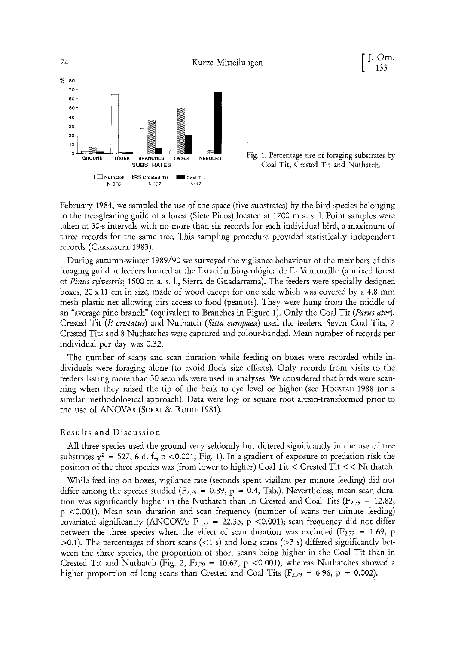

Fig. 1. Percentage use of foraging substrates by Coal Tit, Crested Tit and Nuthatch.

133

February 1984, we sampled the use of the space (five substrates) by the bird species belonging to the tree-gleaning guild of a forest (Siete Picos) located at 1700 m a. s. 1. Point samples were taken at 30-s intervals with no more than six records for each individual bird, a maximum of three records for the same tree. This sampling procedure provided statistically independent records (CARRASCAL 1983).

During autumn-winter 1989/90 we surveyed the vigilance behaviour of the members of this foraging guild at feeders located at the Estaci6n Biogeol6gica de El Ventorrillo (a mixed forest of *Pinus sylvestris;* 1500 m a. s. 1., Sierra de Guadarrama). The feeders were specially designed boxes, 20 xll cm in size, made of wood except for one side which was covered by a 4.8 mm mesh plastic net allowing bits access to food (peanuts). They were hung from the middle of an "average pine branch" (equivalent to Branches in Figure 1). Only the Coal Tit *(Parus ater),*  Crested Tit *(R cristatus)* and Nuthatch *(Sitta europaea)* used the feeders. Seven Coal Tits, 7 Crested Tits and 8 Nuthatches were captured and colour-banded. Mean number of records per individual per day was 0.32.

The number of scans and scan duration while feeding on boxes were recorded while individuals were foraging alone (to avoid flock size effects). Only records from visits to the feeders lasting more than 30 seconds were used in analyses. We considered that birds were scanning when they raised the tip of the beak to eye level or higher (see HOCSTAD 1988 for a similar methodological approach). Data were log- or square root arcsin-transformed prior to the use of ANOVAs (SOKAL & ROHLF 1981).

### Results and Discussion

All three species used the ground very seldomly but differed significantly in the use of tree substrates  $\chi^2$  = 527, 6 d. f., p <0.001; Fig. 1). In a gradient of exposure to predation risk the position of the three species was (from lower to higher) Coal Tit < Crested Tit < < Nuthatch.

While feedling on boxes, vigilance rate (seconds spent vigilant per minute feeding) did not differ among the species studied ( $F_{2,79}$  = 0.89, p = 0.4, Tab.). Nevertheless, mean scan duration was significantly higher in the Nuthatch than in Crested and Coal Tits ( $F_{2,79} = 12.82$ , p <0.001). Mean scan duration and scan frequency (number of scans per minute feeding) covariated significantly (ANCOVA:  $F_{1,77}$  = 22.35, p <0.001); scan frequency did not differ between the three species when the effect of scan duration was excluded ( $F_{2,77}$  = 1.69, p  $>0.1$ ). The percentages of short scans (<1 s) and long scans ( $>3$  s) differed significantly between the three species, the proportion of short scans being higher in the Coal Tit than in Crested Tit and Nuthatch (Fig. 2,  $F_{2,79} = 10.67$ , p <0.001), whereas Nuthatches showed a higher proportion of long scans than Crested and Coal Tits ( $F_{2,79} = 6.96$ ,  $p = 0.002$ ).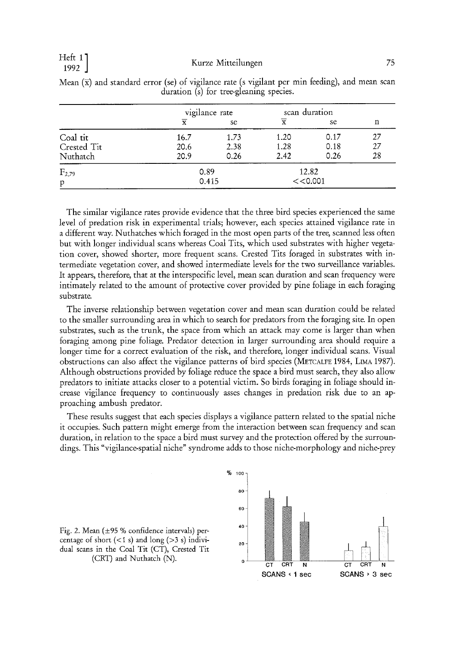|              | vigilance rate |      | scan duration           |      |    |
|--------------|----------------|------|-------------------------|------|----|
|              | $\overline{x}$ | se   | $\overline{\textbf{x}}$ | se   | n  |
| Coal tit     | 16.7           | 1.73 | 1.20                    | 0.17 | 27 |
| Crested Tit  | 20.6           | 2.38 | 1.28                    | 0.18 | 27 |
| Nuthatch     | 20.9           | 0.26 | 2.42                    | 0.26 | 28 |
| $F_{2,79}$   | 0.89           |      | 12.82                   |      |    |
| $\, {\bf p}$ | 0.415          |      | << 0.001                |      |    |

Mean  $(\bar{x})$  and standard error (se) of vigilance rate (s vigilant per min feeding), and mean scan duration (s) for tree-gleaning species.

The similar vigilance rates provide evidence that the three bird species experienced the same level of predation risk in experimental trials; however, each species attained vigilance rate in a different way. Nuthatches which foraged in the most open parts of the tree, scanned less often but with longer individual scans whereas Coal Tits, which used substrates with higher vegetation cover, showed shorter, more frequent scans. Crested Tits foraged in substrates with intermediate vegetation cover, and showed intermediate levels for the two surveillance variables. It appears, therefore, that at the interspecific level, mean scan duration and scan frequency were intimately related to the amount of protective cover provided by pine foliage in each foraging substrate.

The inverse relationship between vegetation cover and mean scan duration could be related to the smaller surrounding area in which to search for predators from the foraging site. In open substrates, such as the trunk, the space from which an attack may come is larger than when foraging among pine foliage Predator detection in larger surrounding area should require a longer time for a correct evaluation of the risk, and therefore, longer individual scans. Visual obstructions can also affect the vigilance patterns of bird species (METCALFE 1984, LIMA 1987). Although obstructions provided by foliage reduce the space a bird must search, they also allow predators to initiate attacks closer to a potential victim. So birds foraging in foliage should increase vigilance frequency to continuously asses changes in predation risk due to an approaching ambush predator.

These results suggest that each species displays a vigilance pattern related to the spatial niche it occupies. Such pattern might emerge from the interaction between scan frequency and scan duration, in relation to the space a bird must survey and the protection offered by the surroundings. This "vigilance-spatial niche" syndrome adds to those niche-morphology and niche-prey



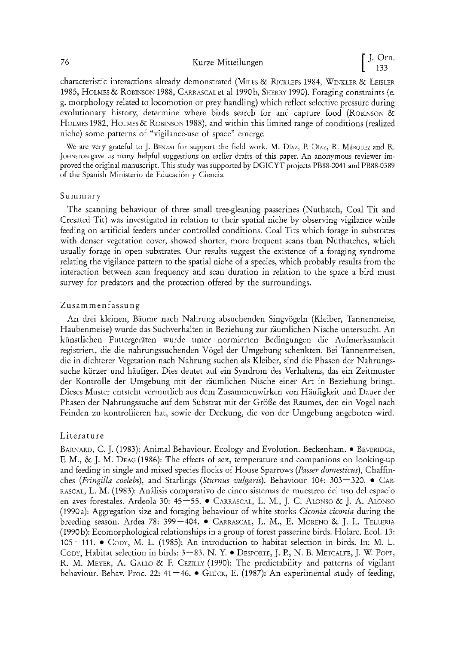# 76 Kurze Mitteilungen  $\left[ \begin{array}{c} J. \text{ Orn.} \\ 133 \end{array} \right]$

characteristic interactions already demonstrated (MILES & RICKLEFS 1984, WINKLER & LEISLER 1985, HOLMES & ROBINSON 1988, CARRASCAL et al 1990 b, SHERRY 1990). Foraging constraints (e. g. morphology related to locomotion or prey handling) which reflect selective pressure during evolutionary history, determine where birds search for and capture food (ROBINSON & HOLMES 1982, HOLMES & ROBINSON 1988), and within this limited range of conditions (realized niche) some patterns of "vigilance-use of space" emerge.

We are very grateful to J. BENZAL for support the field work. M. Díaz, P. Díaz, R. MÁRQUEZ and R. JOHNSTON gave US many helpful suggestions on earlier drafts of this paper. An anonymous reviewer improved the original manuscript. This study was supported by DGICYT projects PB88-0041 and PB88-0389 of the Spanish Ministerio de Educación y Ciencia.

## Summary

The scanning behaviour of three small tree-gleaning passerines (Nuthatch, Coal Tit and Cresated Tit) was investigated in relation to their spatial niche by observing vigilance while feeding on artificial feeders under controlled conditions. Coal Tits which forage in substrates with denser vegetation cover, showed shorter, more frequent scans than Nuthatches, which usually forage in open substrates. Our results suggest the existence of a foraging syndrome relating the vigilance pattern to the spatial niche of a species, which probably results from the interaction between scan frequency and scan duration in relation to the space a bird must survey for predators and the protection offered by the surroundings.

## Zusammenfassung

An drei kleinen, Bäume nach Nahrung absuchenden Singvögeln (Kleiber, Tannenmeise, Haubenmeise) wurde das Suchverhalten in Beziehung zur räumlichen Nische untersucht. An künstlichen Futtergeräten wurde unter normierten Bedingungen die Aufmerksamkeit registriert, die die nahrungssuchenden V6gel der Umgebung schenkten. Bei Tannenmeisen, die in dichterer Vegetation nach Nahrung suchen als Kleiber, sind die Phasen der Nahrungssuche kürzer und häufiger. Dies deutet auf ein Syndrom des Verhaltens, das ein Zeitmuster der Kontrolle der Umgebung mit der räumlichen Nische einer Art in Beziehung bringt. Dieses Muster entsteht vermutlich aus dem Zusammenwirken von Häufigkeit und Dauer der Phasen der Nahrungssuche auf dem Substrat mit der Größe des Raumes, den ein Vogel nach Feinden zu kontrollieren hat, sowie der Deckung, die yon der Umgebung angeboten wird.

## Literature

BARNARD, C. J. (1983): Animal Behaviour. Ecology and Evolution. Beckenham. • BEVERIDGE, E M., & J. M. DEAG (1986): The effects of sex, temperature and companions on looking-up and feeding in single and mixed species flocks of House Sparrows *(Passer domesticus),* Chaffinches *(Fringilla coelebs)*, and Starlings *(Sturnus vulgaris)*. Behaviour 104: 303–320. • CAR-RASCAL, L. M. (1983): Anfilisis comparativo de cinco sistemas de muestreo del uso del espacio en ayes forestales. Ardeola 30: 45--55. • CARRaSCaL, L. M., J. C. ALONSO & J. A. ALONSO (1990a): Aggregation size and foraging behaviour of white storks *Ciconia ciconia* during the breeding season. Ardea 78: 399-404. • CARRASCAL, L. M., E. MORENO & J. L. TELLERIA (1990 b): Ecomorphological relationships in a group of forest passerine birds. Holarc. Ecol. 13: 105--111. • CopY, M. L. (1985): An introduction to habitat selection in birds. In: M. L. Copy, Habitat selection in birds: 3–83. N. Y. • DESPORTE, J. P., N. B. METCALFE, J. W. POPP, R. M. MEYER, A. GALLO & E CEZlLLY (1990): The predictability and patterns of vigilant behaviour. Behav. Proc. 22: 41-46. • GLUCK, E. (1987): An experimental study of feeding,